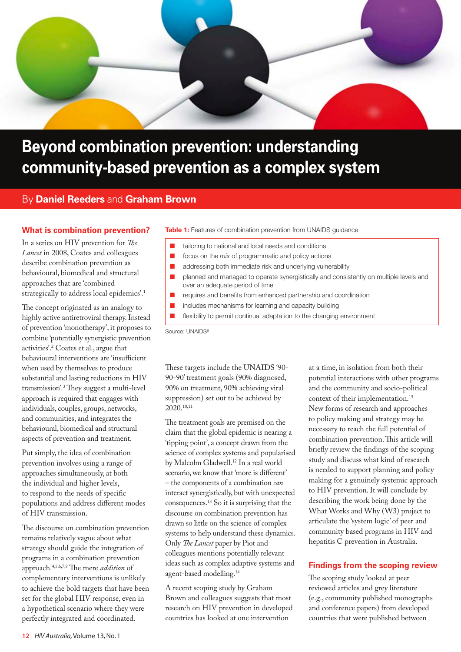

# **Beyond combination prevention: understanding community-based prevention as a complex system**

# By **Daniel Reeders** and **Graham Brown**

#### **What is combination prevention?**

In a series on HIV prevention for *The Lancet* in 2008, Coates and colleagues describe combination prevention as behavioural, biomedical and structural approaches that are 'combined strategically to address local epidemics'.1

The concept originated as an analogy to highly active antiretroviral therapy. Instead of prevention 'monotherapy', it proposes to combine 'potentially synergistic prevention activities'.2 Coates et al., argue that behavioural interventions are 'insufficient when used by themselves to produce substantial and lasting reductions in HIV transmission'.3 They suggest a multi-level approach is required that engages with individuals, couples, groups, networks, and communities, and integrates the behavioural, biomedical and structural aspects of prevention and treatment.

Put simply, the idea of combination prevention involves using a range of approaches simultaneously, at both the individual and higher levels, to respond to the needs of specific populations and address different modes of HIV transmission.

The discourse on combination prevention remains relatively vague about what strategy should guide the integration of programs in a combination prevention approach.4,5,6,7,8 The mere *addition* of complementary interventions is unlikely to achieve the bold targets that have been set for the global HIV response, even in a hypothetical scenario where they were perfectly integrated and coordinated.

#### **Table 1:** Features of combination prevention from UNAIDS guidance

- tailoring to national and local needs and conditions
- n focus on the *mix* of programmatic and policy actions
- **n** addressing both immediate risk and underlying vulnerability
- n planned and managed to operate synergistically and consistently on multiple levels and over an adequate period of time
- $\blacksquare$  requires and benefits from enhanced partnership and coordination
- includes mechanisms for learning and capacity building
- flexibility to permit continual adaptation to the changing environment

Source: UNAIDS<sup>9</sup>

These targets include the UNAIDS '90- 90-90' treatment goals (90% diagnosed, 90% on treatment, 90% achieving viral suppression) set out to be achieved by 2020.10,11

The treatment goals are premised on the claim that the global epidemic is nearing a 'tipping point', a concept drawn from the science of complex systems and popularised by Malcolm Gladwell.12 In a real world scenario, we know that 'more is different' – the components of a combination *can* interact synergistically, but with unexpected consequences.13 So it is surprising that the discourse on combination prevention has drawn so little on the science of complex systems to help understand these dynamics. Only *The Lancet* paper by Piot and colleagues mentions potentially relevant ideas such as complex adaptive systems and agent-based modelling.14

A recent scoping study by Graham Brown and colleagues suggests that most research on HIV prevention in developed countries has looked at one intervention

at a time, in isolation from both their potential interactions with other programs and the community and socio-political context of their implementation.<sup>15</sup> New forms of research and approaches to policy making and strategy may be necessary to reach the full potential of combination prevention. This article will briefly review the findings of the scoping study and discuss what kind of research is needed to support planning and policy making for a genuinely systemic approach to HIV prevention. It will conclude by describing the work being done by the What Works and Why (W3) project to articulate the 'system logic' of peer and community based programs in HIV and hepatitis C prevention in Australia.

### **Findings from the scoping review**

The scoping study looked at peer reviewed articles and grey literature (e.g., community published monographs and conference papers) from developed countries that were published between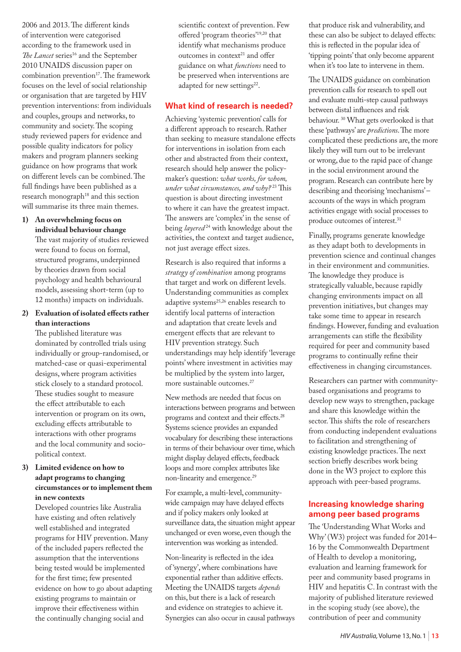2006 and 2013. The different kinds of intervention were categorised according to the framework used in The Lancet series<sup>16</sup> and the September 2010 UNAIDS discussion paper on combination prevention $17$ . The framework focuses on the level of social relationship or organisation that are targeted by HIV prevention interventions: from individuals and couples, groups and networks, to community and society. The scoping study reviewed papers for evidence and possible quality indicators for policy makers and program planners seeking guidance on how programs that work on different levels can be combined. The full findings have been published as a research monograph<sup>18</sup> and this section will summarise its three main themes.

**1) An overwhelming focus on individual behaviour change**

The vast majority of studies reviewed were found to focus on formal, structured programs, underpinned by theories drawn from social psychology and health behavioural models, assessing short-term (up to 12 months) impacts on individuals.

#### **2) Evaluation of isolated effects rather than interactions**

The published literature was dominated by controlled trials using individually or group-randomised, or matched-case or quasi-experimental designs, where program activities stick closely to a standard protocol. These studies sought to measure the effect attributable to each intervention or program on its own, excluding effects attributable to interactions with other programs and the local community and sociopolitical context.

#### **3) Limited evidence on how to adapt programs to changing circumstances or to implement them in new contexts**

Developed countries like Australia have existing and often relatively well established and integrated programs for HIV prevention. Many of the included papers reflected the assumption that the interventions being tested would be implemented for the first time; few presented evidence on how to go about adapting existing programs to maintain or improve their effectiveness within the continually changing social and

scientific context of prevention. Few offered 'program theories'19,20 that identify what mechanisms produce outcomes in context<sup>21</sup> and offer guidance on what *functions* need to be preserved when interventions are adapted for new settings<sup>22</sup>.

# **What kind of research is needed?**

Achieving 'systemic prevention' calls for a different approach to research. Rather than seeking to measure standalone effects for interventions in isolation from each other and abstracted from their context, research should help answer the policymaker's question: *what works, for whom, under what circumstances, and why?* 23 This question is about directing investment to where it can have the greatest impact. The answers are 'complex' in the sense of being *layered*<sup>24</sup> with knowledge about the activities, the context and target audience, not just average effect sizes.

Research is also required that informs a *strategy of combination* among programs that target and work on different levels. Understanding communities as complex adaptive systems<sup>25,26</sup> enables research to identify local patterns of interaction and adaptation that create levels and emergent effects that are relevant to HIV prevention strategy. Such understandings may help identify 'leverage points' where investment in activities may be multiplied by the system into larger, more sustainable outcomes.27

New methods are needed that focus on interactions between programs and between programs and context and their effects.28 Systems science provides an expanded vocabulary for describing these interactions in terms of their behaviour over time, which might display delayed effects, feedback loops and more complex attributes like non-linearity and emergence.<sup>29</sup>

For example, a multi-level, communitywide campaign may have delayed effects and if policy makers only looked at surveillance data, the situation might appear unchanged or even worse, even though the intervention was working as intended.

Non-linearity is reflected in the idea of 'synergy', where combinations have exponential rather than additive effects. Meeting the UNAIDS targets *depends* on this, but there is a lack of research and evidence on strategies to achieve it. Synergies can also occur in causal pathways that produce risk and vulnerability, and these can also be subject to delayed effects: this is reflected in the popular idea of 'tipping points' that only become apparent when it's too late to intervene in them.

The UNAIDS guidance on combination prevention calls for research to spell out and evaluate multi-step causal pathways between distal influences and risk behaviour. 30 What gets overlooked is that these 'pathways' are *predictions*. The more complicated these predictions are, the more likely they will turn out to be irrelevant or wrong, due to the rapid pace of change in the social environment around the program. Research can contribute here by describing and theorising 'mechanisms' – accounts of the ways in which program activities engage with social processes to produce outcomes of interest.<sup>31</sup>

Finally, programs generate knowledge as they adapt both to developments in prevention science and continual changes in their environment and communities. The knowledge they produce is strategically valuable, because rapidly changing environments impact on all prevention initiatives, but changes may take some time to appear in research findings. However, funding and evaluation arrangements can stifle the flexibility required for peer and community based programs to continually refine their effectiveness in changing circumstances.

Researchers can partner with communitybased organisations and programs to develop new ways to strengthen, package and share this knowledge within the sector. This shifts the role of researchers from conducting independent evaluations to facilitation and strengthening of existing knowledge practices. The next section briefly describes work being done in the W3 project to explore this approach with peer-based programs.

## **Increasing knowledge sharing among peer based programs**

The 'Understanding What Works and Why' (W3) project was funded for 2014– 16 by the Commonwealth Department of Health to develop a monitoring, evaluation and learning framework for peer and community based programs in HIV and hepatitis C. In contrast with the majority of published literature reviewed in the scoping study (see above), the contribution of peer and community